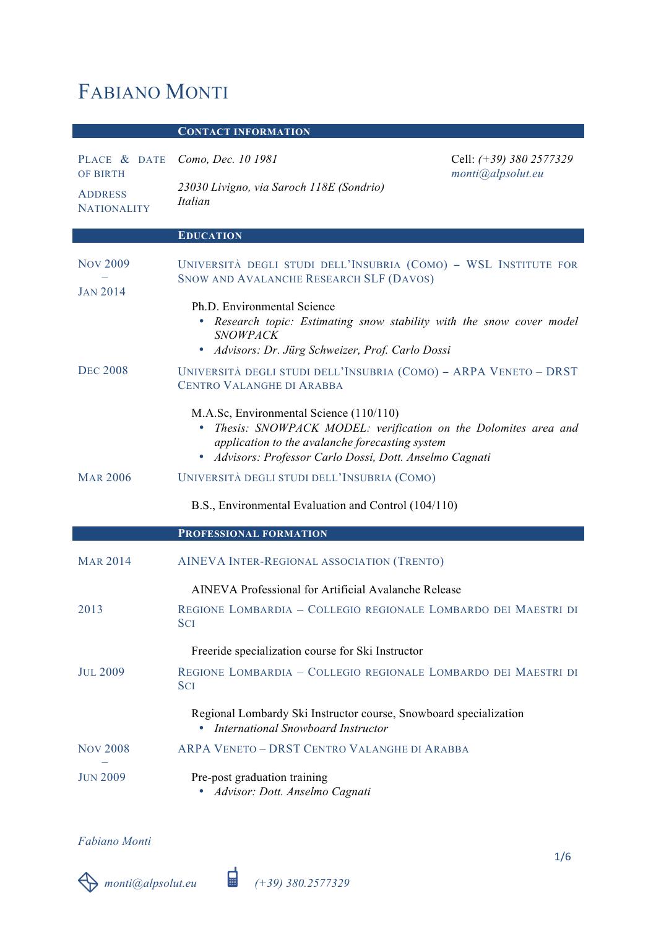# FABIANO MONTI

# **CONTACT INFORMATION**

| PLACE & DATE                                            | Como, Dec. 10 1981                                                                                                                                                                                                         | Cell: $(+39)$ 380 2577329 |
|---------------------------------------------------------|----------------------------------------------------------------------------------------------------------------------------------------------------------------------------------------------------------------------------|---------------------------|
| <b>OF BIRTH</b><br><b>ADDRESS</b><br><b>NATIONALITY</b> | 23030 Livigno, via Saroch 118E (Sondrio)<br><i>Italian</i>                                                                                                                                                                 | monti@alpsolut.eu         |
|                                                         | <b>EDUCATION</b>                                                                                                                                                                                                           |                           |
| <b>NOV 2009</b>                                         | UNIVERSITÀ DEGLI STUDI DELL'INSUBRIA (COMO) - WSL INSTITUTE FOR<br>SNOW AND AVALANCHE RESEARCH SLF (DAVOS)                                                                                                                 |                           |
| <b>JAN 2014</b>                                         | Ph.D. Environmental Science<br>• Research topic: Estimating snow stability with the snow cover model<br><b>SNOWPACK</b><br>· Advisors: Dr. Jürg Schweizer, Prof. Carlo Dossi                                               |                           |
| <b>DEC 2008</b>                                         | UNIVERSITÀ DEGLI STUDI DELL'INSUBRIA (COMO) - ARPA VENETO - DRST<br><b>CENTRO VALANGHE DI ARABBA</b>                                                                                                                       |                           |
|                                                         | M.A.Sc, Environmental Science (110/110)<br>• Thesis: SNOWPACK MODEL: verification on the Dolomites area and<br>application to the avalanche forecasting system<br>· Advisors: Professor Carlo Dossi, Dott. Anselmo Cagnati |                           |
| <b>MAR 2006</b>                                         | UNIVERSITÀ DEGLI STUDI DELL'INSUBRIA (COMO)                                                                                                                                                                                |                           |
|                                                         | B.S., Environmental Evaluation and Control (104/110)                                                                                                                                                                       |                           |
|                                                         | PROFESSIONAL FORMATION                                                                                                                                                                                                     |                           |
| <b>MAR 2014</b>                                         | AINEVA INTER-REGIONAL ASSOCIATION (TRENTO)                                                                                                                                                                                 |                           |
|                                                         | AINEVA Professional for Artificial Avalanche Release                                                                                                                                                                       |                           |
| 2013                                                    | REGIONE LOMBARDIA - COLLEGIO REGIONALE LOMBARDO DEI MAESTRI DI<br><b>SCI</b>                                                                                                                                               |                           |
|                                                         | Freeride specialization course for Ski Instructor                                                                                                                                                                          |                           |
| <b>JUL 2009</b>                                         | REGIONE LOMBARDIA - COLLEGIO REGIONALE LOMBARDO DEI MAESTRI DI<br><b>SCI</b>                                                                                                                                               |                           |
|                                                         | Regional Lombardy Ski Instructor course, Snowboard specialization<br>• International Snowboard Instructor                                                                                                                  |                           |
| <b>NOV 2008</b>                                         | ARPA VENETO - DRST CENTRO VALANGHE DI ARABBA                                                                                                                                                                               |                           |
| <b>JUN 2009</b>                                         | Pre-post graduation training<br>Advisor: Dott. Anselmo Cagnati                                                                                                                                                             |                           |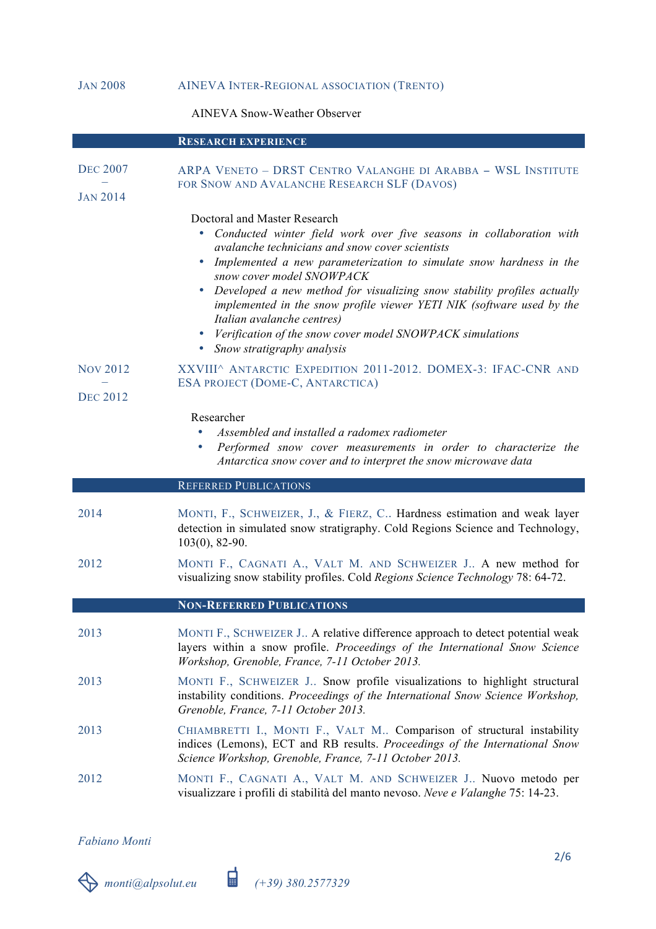# JAN 2008 AINEVA INTER-REGIONAL ASSOCIATION (TRENTO)

AINEVA Snow-Weather Observer

|                                    | <b>RESEARCH EXPERIENCE</b>                                                                                                                                                                                                                                                                                                                                                                                                                                                                                                                      |
|------------------------------------|-------------------------------------------------------------------------------------------------------------------------------------------------------------------------------------------------------------------------------------------------------------------------------------------------------------------------------------------------------------------------------------------------------------------------------------------------------------------------------------------------------------------------------------------------|
| <b>DEC 2007</b><br><b>JAN 2014</b> | ARPA VENETO - DRST CENTRO VALANGHE DI ARABBA - WSL INSTITUTE<br>FOR SNOW AND AVALANCHE RESEARCH SLF (DAVOS)                                                                                                                                                                                                                                                                                                                                                                                                                                     |
|                                    | Doctoral and Master Research<br>Conducted winter field work over five seasons in collaboration with<br>avalanche technicians and snow cover scientists<br>• Implemented a new parameterization to simulate snow hardness in the<br>snow cover model SNOWPACK<br>• Developed a new method for visualizing snow stability profiles actually<br>implemented in the snow profile viewer YETI NIK (software used by the<br>Italian avalanche centres)<br>• Verification of the snow cover model SNOWPACK simulations<br>• Snow stratigraphy analysis |
| <b>NOV 2012</b>                    | XXVIII^ ANTARCTIC EXPEDITION 2011-2012. DOMEX-3: IFAC-CNR AND                                                                                                                                                                                                                                                                                                                                                                                                                                                                                   |
| <b>DEC 2012</b>                    | ESA PROJECT (DOME-C, ANTARCTICA)                                                                                                                                                                                                                                                                                                                                                                                                                                                                                                                |
|                                    | Researcher<br>Assembled and installed a radomex radiometer<br>Performed snow cover measurements in order to characterize the<br>Antarctica snow cover and to interpret the snow microwave data                                                                                                                                                                                                                                                                                                                                                  |
|                                    |                                                                                                                                                                                                                                                                                                                                                                                                                                                                                                                                                 |
|                                    | <b>REFERRED PUBLICATIONS</b>                                                                                                                                                                                                                                                                                                                                                                                                                                                                                                                    |
| 2014                               | MONTI, F., SCHWEIZER, J., & FIERZ, C Hardness estimation and weak layer<br>detection in simulated snow stratigraphy. Cold Regions Science and Technology,<br>$103(0)$ , 82-90.                                                                                                                                                                                                                                                                                                                                                                  |
| 2012                               | MONTI F., CAGNATI A., VALT M. AND SCHWEIZER J A new method for<br>visualizing snow stability profiles. Cold Regions Science Technology 78: 64-72.                                                                                                                                                                                                                                                                                                                                                                                               |
|                                    | <b>NON-REFERRED PUBLICATIONS</b>                                                                                                                                                                                                                                                                                                                                                                                                                                                                                                                |
| 2013                               | MONTI F., SCHWEIZER J A relative difference approach to detect potential weak<br>layers within a snow profile. Proceedings of the International Snow Science<br>Workshop, Grenoble, France, 7-11 October 2013.                                                                                                                                                                                                                                                                                                                                  |
| 2013                               | MONTI F., SCHWEIZER J Snow profile visualizations to highlight structural<br>instability conditions. Proceedings of the International Snow Science Workshop,<br>Grenoble, France, 7-11 October 2013.                                                                                                                                                                                                                                                                                                                                            |
| 2013                               | CHIAMBRETTI I., MONTI F., VALT M Comparison of structural instability<br>indices (Lemons), ECT and RB results. Proceedings of the International Snow<br>Science Workshop, Grenoble, France, 7-11 October 2013.                                                                                                                                                                                                                                                                                                                                  |

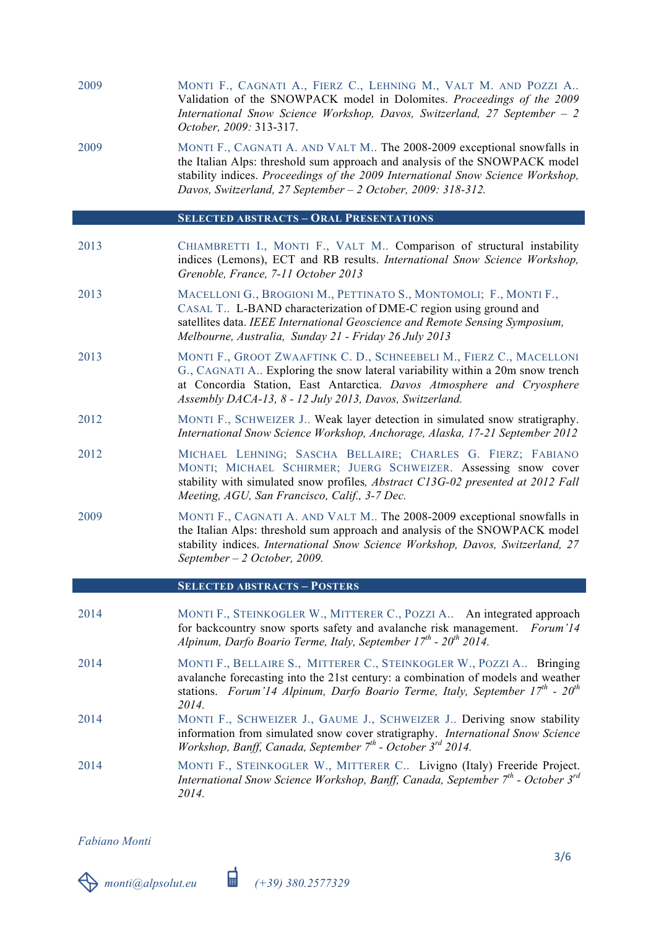| 2009 | MONTI F., CAGNATI A., FIERZ C., LEHNING M., VALT M. AND POZZI A<br>Validation of the SNOWPACK model in Dolomites. Proceedings of the 2009<br>International Snow Science Workshop, Davos, Switzerland, 27 September $-2$                            |
|------|----------------------------------------------------------------------------------------------------------------------------------------------------------------------------------------------------------------------------------------------------|
|      | <i>October. 2009:</i> 313-317.                                                                                                                                                                                                                     |
| 2009 | MONTI F., CAGNATI A. AND VALT M The 2008-2009 exceptional snowfalls in<br>$A_{\rm{tot}}$ Let $A_{\rm{tot}}$ $A_{\rm{tot}}$ $A_{\rm{tot}}$ $A_{\rm{tot}}$ $A_{\rm{tot}}$ is a sense of the state of $A_{\rm{tot}}$ . CMOWD A CIZ and $A_{\rm{tot}}$ |

the Italian Alps: threshold sum approach and analysis of the SNOWPACK model stability indices. *Proceedings of the 2009 International Snow Science Workshop, Davos, Switzerland, 27 September – 2 October, 2009: 318-312.*

#### **SELECTED ABSTRACTS – ORAL PRESENTATIONS**

- 2013 CHIAMBRETTI I., MONTI F., VALT M.. Comparison of structural instability indices (Lemons), ECT and RB results. *International Snow Science Workshop, Grenoble, France, 7-11 October 2013*
- 2013 MACELLONI G., BROGIONI M., PETTINATO S., MONTOMOLI; F., MONTI F., CASAL T.. L-BAND characterization of DME-C region using ground and satellites data. *IEEE International Geoscience and Remote Sensing Symposium, Melbourne, Australia, Sunday 21 - Friday 26 July 2013*
- 2013 MONTI F., GROOT ZWAAFTINK C. D., SCHNEEBELI M., FIERZ C., MACELLONI G., CAGNATI A.. Exploring the snow lateral variability within a 20m snow trench at Concordia Station, East Antarctica. *Davos Atmosphere and Cryosphere Assembly DACA-13, 8 - 12 July 2013, Davos, Switzerland.*
- 2012 MONTI F., SCHWEIZER J.. Weak layer detection in simulated snow stratigraphy. *International Snow Science Workshop, Anchorage, Alaska, 17-21 September 2012*
- 2012 MICHAEL LEHNING; SASCHA BELLAIRE; CHARLES G. FIERZ; FABIANO MONTI; MICHAEL SCHIRMER; JUERG SCHWEIZER. Assessing snow cover stability with simulated snow profiles*, Abstract C13G-02 presented at 2012 Fall Meeting, AGU, San Francisco, Calif., 3-7 Dec.*
- 2009 MONTI F., CAGNATI A. AND VALT M.. The 2008-2009 exceptional snowfalls in the Italian Alps: threshold sum approach and analysis of the SNOWPACK model stability indices. *International Snow Science Workshop, Davos, Switzerland, 27 September – 2 October, 2009.*

#### **SELECTED ABSTRACTS – POSTERS**

- 2014 MONTI F., STEINKOGLER W., MITTERER C., POZZI A.. An integrated approach for backcountry snow sports safety and avalanche risk management. *Forum'14 Alpinum, Darfo Boario Terme, Italy, September 17th - 20th 2014.*
- 2014 MONTI F., BELLAIRE S., MITTERER C., STEINKOGLER W., POZZI A.. Bringing avalanche forecasting into the 21st century: a combination of models and weather stations. *Forum'14 Alpinum, Darfo Boario Terme, Italy, September 17th - 20th 2014.*
- 2014 MONTI F., SCHWEIZER J., GAUME J., SCHWEIZER J.. Deriving snow stability information from simulated snow cover stratigraphy. *International Snow Science Workshop, Banff, Canada, September 7th - October 3rd 2014.*
- 2014 MONTI F., STEINKOGLER W., MITTERER C.. Livigno (Italy) Freeride Project. *International Snow Science Workshop, Banff, Canada, September 7th - October 3rd 2014.*

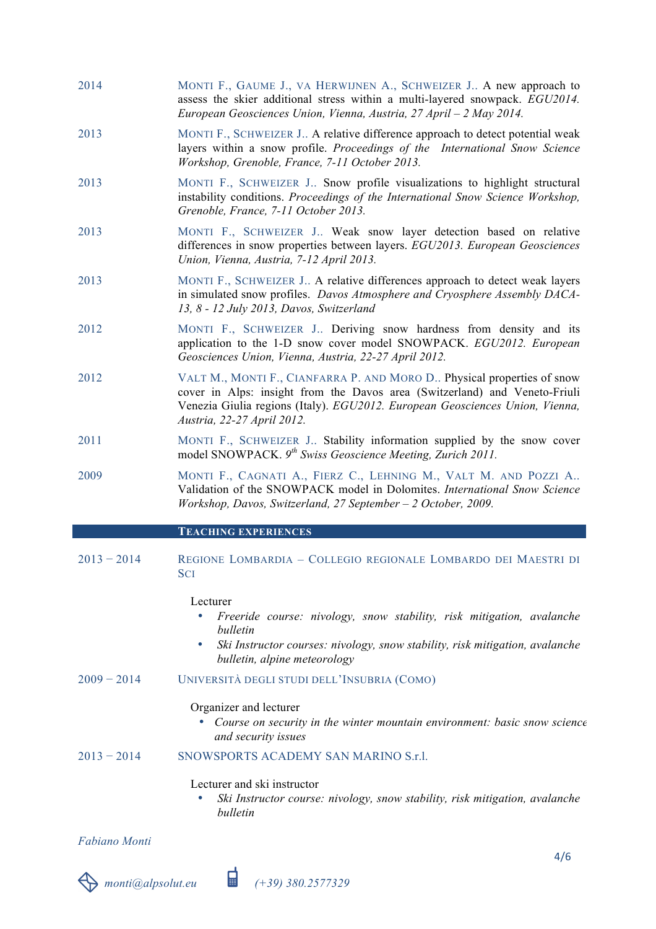- 2014 MONTI F., GAUME J., VA HERWIJNEN A., SCHWEIZER J.. A new approach to assess the skier additional stress within a multi-layered snowpack. *EGU2014. European Geosciences Union, Vienna, Austria, 27 April – 2 May 2014.*
- 2013 MONTI F., SCHWEIZER J.. A relative difference approach to detect potential weak layers within a snow profile. *Proceedings of the International Snow Science Workshop, Grenoble, France, 7-11 October 2013.*
- 2013 MONTI F., SCHWEIZER J.. Snow profile visualizations to highlight structural instability conditions. *Proceedings of the International Snow Science Workshop, Grenoble, France, 7-11 October 2013.*
- 2013 MONTI F., SCHWEIZER J.. Weak snow layer detection based on relative differences in snow properties between layers. *EGU2013. European Geosciences Union, Vienna, Austria, 7-12 April 2013.*
- 2013 MONTI F., SCHWEIZER J.. A relative differences approach to detect weak layers in simulated snow profiles. *Davos Atmosphere and Cryosphere Assembly DACA-13, 8 - 12 July 2013, Davos, Switzerland*
- 2012 MONTI F., SCHWEIZER J.. Deriving snow hardness from density and its application to the 1-D snow cover model SNOWPACK. *EGU2012. European Geosciences Union, Vienna, Austria, 22-27 April 2012.*
- 2012 VALT M., MONTI F., CIANFARRA P. AND MORO D.. Physical properties of snow cover in Alps: insight from the Davos area (Switzerland) and Veneto-Friuli Venezia Giulia regions (Italy). *EGU2012. European Geosciences Union, Vienna, Austria, 22-27 April 2012.*
- 2011 MONTI F., SCHWEIZER J.. Stability information supplied by the snow cover model SNOWPACK. *9th Swiss Geoscience Meeting, Zurich 2011.*
- 2009 MONTI F., CAGNATI A., FIERZ C., LEHNING M., VALT M. AND POZZI A.. Validation of the SNOWPACK model in Dolomites. *International Snow Science Workshop, Davos, Switzerland, 27 September – 2 October, 2009.*

#### **TEACHING EXPERIENCES**

2013 − 2014 REGIONE LOMBARDIA – COLLEGIO REGIONALE LOMBARDO DEI MAESTRI DI **SCI** 

#### Lecturer

- *Freeride course: nivology, snow stability, risk mitigation, avalanche bulletin*
- *Ski Instructor courses: nivology, snow stability, risk mitigation, avalanche bulletin, alpine meteorology*
- 2009 − 2014 UNIVERSITÀ DEGLI STUDI DELL'INSUBRIA (COMO)

#### Organizer and lecturer

• *Course on security in the winter mountain environment: basic snow science and security issues*

## $2013 - 2014$  SNOWSPORTS ACADEMY SAN MARINO S r1

#### Lecturer and ski instructor

• *Ski Instructor course: nivology, snow stability, risk mitigation, avalanche bulletin*

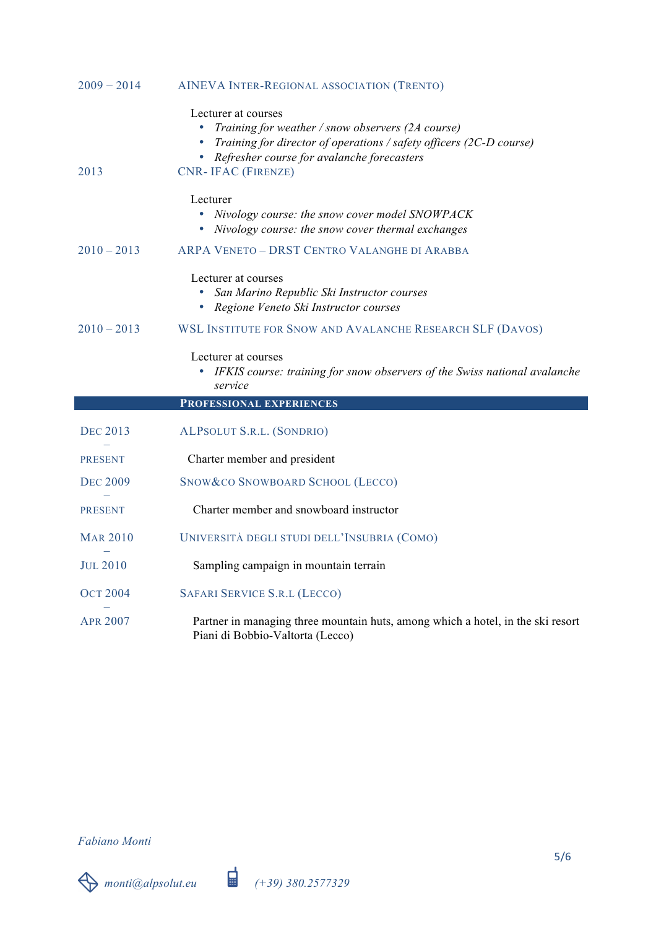| $2009 - 2014$   | AINEVA INTER-REGIONAL ASSOCIATION (TRENTO)                                                                                                                                                                                              |
|-----------------|-----------------------------------------------------------------------------------------------------------------------------------------------------------------------------------------------------------------------------------------|
| 2013            | Lecturer at courses<br>Training for weather / snow observers (2A course)<br>$\bullet$<br>Training for director of operations / safety officers (2C-D course)<br>Refresher course for avalanche forecasters<br><b>CNR-IFAC (FIRENZE)</b> |
|                 | Lecturer<br>Nivology course: the snow cover model SNOWPACK<br>$\bullet$<br>Nivology course: the snow cover thermal exchanges                                                                                                            |
| $2010 - 2013$   | ARPA VENETO - DRST CENTRO VALANGHE DI ARABBA                                                                                                                                                                                            |
|                 | Lecturer at courses<br>San Marino Republic Ski Instructor courses<br>Regione Veneto Ski Instructor courses                                                                                                                              |
| $2010 - 2013$   | WSL INSTITUTE FOR SNOW AND AVALANCHE RESEARCH SLF (DAVOS)                                                                                                                                                                               |
|                 | Lecturer at courses<br>IFKIS course: training for snow observers of the Swiss national avalanche<br>۰<br>service                                                                                                                        |
|                 | PROFESSIONAL EXPERIENCES                                                                                                                                                                                                                |
| <b>DEC 2013</b> | ALPSOLUT S.R.L. (SONDRIO)                                                                                                                                                                                                               |
| <b>PRESENT</b>  | Charter member and president                                                                                                                                                                                                            |
| <b>DEC 2009</b> | SNOW & CO SNOWBOARD SCHOOL (LECCO)                                                                                                                                                                                                      |
| <b>PRESENT</b>  | Charter member and snowboard instructor                                                                                                                                                                                                 |
| <b>MAR 2010</b> | UNIVERSITÀ DEGLI STUDI DELL'INSUBRIA (COMO)                                                                                                                                                                                             |
| <b>JUL 2010</b> | Sampling campaign in mountain terrain                                                                                                                                                                                                   |
| <b>OCT 2004</b> | SAFARI SERVICE S.R.L (LECCO)                                                                                                                                                                                                            |
| <b>APR 2007</b> | Partner in managing three mountain huts, among which a hotel, in the ski resort<br>Piani di Bobbio-Valtorta (Lecco)                                                                                                                     |